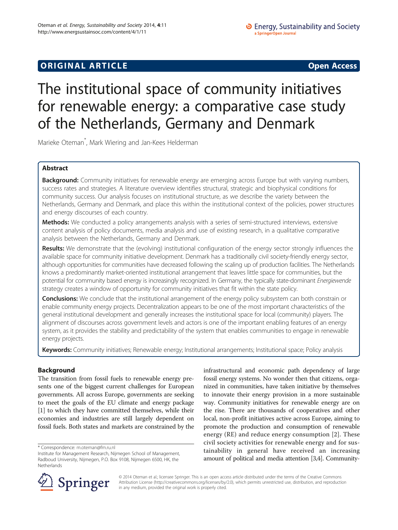# **ORIGINAL ARTICLE CONSUMING A LIGACION** CONSUMING A LIGACION CONSUMING A LIGACION CONSUMING A LIGACION CONSUMING A LIGACION CONSUMING A LIGACION CONSUMING A LIGACION CONSUMING A LIGACION CONSUMING A LIGACION CONSUMING A

# The institutional space of community initiatives for renewable energy: a comparative case study of the Netherlands, Germany and Denmark

Marieke Oteman<sup>\*</sup>, Mark Wiering and Jan-Kees Helderman

# Abstract

Background: Community initiatives for renewable energy are emerging across Europe but with varying numbers, success rates and strategies. A literature overview identifies structural, strategic and biophysical conditions for community success. Our analysis focuses on institutional structure, as we describe the variety between the Netherlands, Germany and Denmark, and place this within the institutional context of the policies, power structures and energy discourses of each country.

**Methods:** We conducted a policy arrangements analysis with a series of semi-structured interviews, extensive content analysis of policy documents, media analysis and use of existing research, in a qualitative comparative analysis between the Netherlands, Germany and Denmark.

Results: We demonstrate that the (evolving) institutional configuration of the energy sector strongly influences the available space for community initiative development. Denmark has a traditionally civil society-friendly energy sector, although opportunities for communities have decreased following the scaling up of production facilities. The Netherlands knows a predominantly market-oriented institutional arrangement that leaves little space for communities, but the potential for community based energy is increasingly recognized. In Germany, the typically state-dominant Energiewende strategy creates a window of opportunity for community initiatives that fit within the state policy.

**Conclusions:** We conclude that the institutional arrangement of the energy policy subsystem can both constrain or enable community energy projects. Decentralization appears to be one of the most important characteristics of the general institutional development and generally increases the institutional space for local (community) players. The alignment of discourses across government levels and actors is one of the important enabling features of an energy system, as it provides the stability and predictability of the system that enables communities to engage in renewable energy projects.

Keywords: Community initiatives; Renewable energy; Institutional arrangements; Institutional space; Policy analysis

# Background

The transition from fossil fuels to renewable energy presents one of the biggest current challenges for European governments. All across Europe, governments are seeking to meet the goals of the EU climate and energy package [[1\]](#page-14-0) to which they have committed themselves, while their economies and industries are still largely dependent on fossil fuels. Both states and markets are constrained by the

infrastructural and economic path dependency of large fossil energy systems. No wonder then that citizens, organized in communities, have taken initiative by themselves to innovate their energy provision in a more sustainable way. Community initiatives for renewable energy are on the rise. There are thousands of cooperatives and other local, non-profit initiatives active across Europe, aiming to promote the production and consumption of renewable energy (RE) and reduce energy consumption [[2\]](#page-14-0). These civil society activities for renewable energy and for sustainability in general have received an increasing amount of political and media attention [\[3,4\]](#page-14-0). Community-



© 2014 Oteman et al.; licensee Springer. This is an open access article distributed under the terms of the Creative Commons Attribution License [\(http://creativecommons.org/licenses/by/2.0\)](http://creativecommons.org/licenses/by/2.0), which permits unrestricted use, distribution, and reproduction in any medium, provided the original work is properly cited.

<sup>\*</sup> Correspondence: [m.oteman@fm.ru.nl](mailto:m.oteman@fm.ru.nl)

Institute for Management Research, Nijmegen School of Management, Radboud University, Nijmegen, P.O. Box 9108, Nijmegen 6500, HK, the Netherlands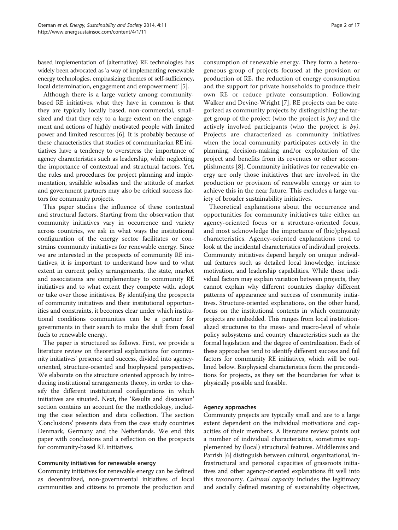based implementation of (alternative) RE technologies has widely been advocated as 'a way of implementing renewable energy technologies, emphasizing themes of self-sufficiency, local determination, engagement and empowerment' [\[5\]](#page-14-0).

Although there is a large variety among communitybased RE initiatives, what they have in common is that they are typically locally based, non-commercial, smallsized and that they rely to a large extent on the engagement and actions of highly motivated people with limited power and limited resources [\[6\]](#page-14-0). It is probably because of these characteristics that studies of communitarian RE initiatives have a tendency to overstress the importance of agency characteristics such as leadership, while neglecting the importance of contextual and structural factors. Yet, the rules and procedures for project planning and implementation, available subsidies and the attitude of market and government partners may also be critical success factors for community projects.

This paper studies the influence of these contextual and structural factors. Starting from the observation that community initiatives vary in occurrence and variety across countries, we ask in what ways the institutional configuration of the energy sector facilitates or constrains community initiatives for renewable energy. Since we are interested in the prospects of community RE initiatives, it is important to understand how and to what extent in current policy arrangements, the state, market and associations are complementary to community RE initiatives and to what extent they compete with, adopt or take over those initiatives. By identifying the prospects of community initiatives and their institutional opportunities and constraints, it becomes clear under which institutional conditions communities can be a partner for governments in their search to make the shift from fossil fuels to renewable energy.

The paper is structured as follows. First, we provide a literature review on theoretical explanations for community initiatives' presence and success, divided into agencyoriented, structure-oriented and biophysical perspectives. We elaborate on the structure oriented approach by introducing institutional arrangements theory, in order to classify the different institutional configurations in which initiatives are situated. Next, the 'Results and discussion' section contains an account for the methodology, including the case selection and data collection. The section 'Conclusions' presents data from the case study countries Denmark, Germany and the Netherlands. We end this paper with conclusions and a reflection on the prospects for community-based RE initiatives.

#### Community initiatives for renewable energy

Community initiatives for renewable energy can be defined as decentralized, non-governmental initiatives of local communities and citizens to promote the production and

consumption of renewable energy. They form a heterogeneous group of projects focused at the provision or production of RE, the reduction of energy consumption and the support for private households to produce their own RE or reduce private consumption. Following Walker and Devine-Wright [[7\]](#page-14-0), RE projects can be categorized as community projects by distinguishing the target group of the project (who the project is for) and the actively involved participants (who the project is  $by$ ). Projects are characterized as community initiatives when the local community participates actively in the planning, decision-making and/or exploitation of the project and benefits from its revenues or other accomplishments [\[8](#page-14-0)]. Community initiatives for renewable energy are only those initiatives that are involved in the production or provision of renewable energy or aim to achieve this in the near future. This excludes a large variety of broader sustainability initiatives.

Theoretical explanations about the occurrence and opportunities for community initiatives take either an agency-oriented focus or a structure-oriented focus, and most acknowledge the importance of (bio)physical characteristics. Agency-oriented explanations tend to look at the incidental characteristics of individual projects. Community initiatives depend largely on unique individual features such as detailed local knowledge, intrinsic motivation, and leadership capabilities. While these individual factors may explain variation between projects, they cannot explain why different countries display different patterns of appearance and success of community initiatives. Structure-oriented explanations, on the other hand, focus on the institutional contexts in which community projects are embedded. This ranges from local institutionalized structures to the meso- and macro-level of whole policy subsystems and country characteristics such as the formal legislation and the degree of centralization. Each of these approaches tend to identify different success and fail factors for community RE initiatives, which will be outlined below. Biophysical characteristics form the preconditions for projects, as they set the boundaries for what is physically possible and feasible.

#### Agency approaches

Community projects are typically small and are to a large extent dependent on the individual motivations and capacities of their members. A literature review points out a number of individual characteristics, sometimes supplemented by (local) structural features. Middlemiss and Parrish [[6\]](#page-14-0) distinguish between cultural, organizational, infrastructural and personal capacities of grassroots initiatives and other agency-oriented explanations fit well into this taxonomy. Cultural capacity includes the legitimacy and socially defined meaning of sustainability objectives,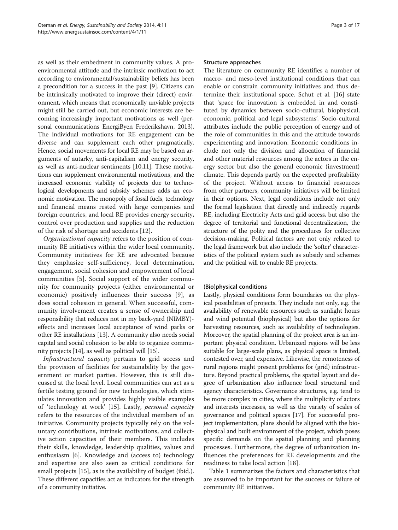as well as their embedment in community values. A proenvironmental attitude and the intrinsic motivation to act according to environmental/sustainability beliefs has been a precondition for a success in the past [\[9\]](#page-14-0). Citizens can be intrinsically motivated to improve their (direct) environment, which means that economically unviable projects might still be carried out, but economic interests are becoming increasingly important motivations as well (personal communications EnergiByen Frederikshavn, 2013). The individual motivations for RE engagement can be diverse and can supplement each other pragmatically. Hence, social movements for local RE may be based on arguments of autarky, anti-capitalism and energy security, as well as anti-nuclear sentiments [[10,11](#page-14-0)]. These motivations can supplement environmental motivations, and the increased economic viability of projects due to technological developments and subsidy schemes adds an economic motivation. The monopoly of fossil fuels, technology and financial means rested with large companies and foreign countries, and local RE provides energy security, control over production and supplies and the reduction of the risk of shortage and accidents [\[12](#page-14-0)].

Organizational capacity refers to the position of community RE initiatives within the wider local community. Community initiatives for RE are advocated because they emphasize self-sufficiency, local determination, engagement, social cohesion and empowerment of local communities [\[5\]](#page-14-0). Social support of the wider community for community projects (either environmental or economic) positively influences their success [[9\]](#page-14-0), as does social cohesion in general. When successful, community involvement creates a sense of ownership and responsibility that reduces not in my back-yard (NIMBY) effects and increases local acceptance of wind parks or other RE installations [\[13](#page-14-0)]. A community also needs social capital and social cohesion to be able to organize community projects [[14\]](#page-14-0), as well as political will [[15](#page-15-0)].

Infrastructural capacity pertains to grid access and the provision of facilities for sustainability by the government or market parties. However, this is still discussed at the local level. Local communities can act as a fertile testing ground for new technologies, which stimulates innovation and provides highly visible examples of 'technology at work' [\[15](#page-15-0)]. Lastly, personal capacity refers to the resources of the individual members of an initiative. Community projects typically rely on the voluntary contributions, intrinsic motivations, and collective action capacities of their members. This includes their skills, knowledge, leadership qualities, values and enthusiasm [[6\]](#page-14-0). Knowledge and (access to) technology and expertise are also seen as critical conditions for small projects [\[15](#page-15-0)], as is the availability of budget (ibid.). These different capacities act as indicators for the strength of a community initiative.

#### Structure approaches

The literature on community RE identifies a number of macro- and meso-level institutional conditions that can enable or constrain community initiatives and thus determine their institutional space. Schut et al. [\[16](#page-15-0)] state that 'space for innovation is embedded in and constituted by dynamics between socio-cultural, biophysical, economic, political and legal subsystems'. Socio-cultural attributes include the public perception of energy and of the role of communities in this and the attitude towards experimenting and innovation. Economic conditions include not only the division and allocation of financial and other material resources among the actors in the energy sector but also the general economic (investment) climate. This depends partly on the expected profitability of the project. Without access to financial resources from other partners, community initiatives will be limited in their options. Next, legal conditions include not only the formal legislation that directly and indirectly regards RE, including Electricity Acts and grid access, but also the degree of territorial and functional decentralization, the structure of the polity and the procedures for collective decision-making. Political factors are not only related to the legal framework but also include the 'softer' characteristics of the political system such as subsidy and schemes and the political will to enable RE projects.

#### (Bio)physical conditions

Lastly, physical conditions form boundaries on the physical possibilities of projects. They include not only, e.g. the availability of renewable resources such as sunlight hours and wind potential (biophysical) but also the options for harvesting resources, such as availability of technologies. Moreover, the spatial planning of the project area is an important physical condition. Urbanized regions will be less suitable for large-scale plans, as physical space is limited, contested over, and expensive. Likewise, the remoteness of rural regions might present problems for (grid) infrastructure. Beyond practical problems, the spatial layout and degree of urbanization also influence local structural and agency characteristics. Governance structures, e.g. tend to be more complex in cities, where the multiplicity of actors and interests increases, as well as the variety of scales of governance and political spaces [\[17\]](#page-15-0). For successful project implementation, plans should be aligned with the biophysical and built environment of the project, which poses specific demands on the spatial planning and planning processes. Furthermore, the degree of urbanization influences the preferences for RE developments and the readiness to take local action [[18](#page-15-0)].

Table [1](#page-3-0) summarizes the factors and characteristics that are assumed to be important for the success or failure of community RE initiatives.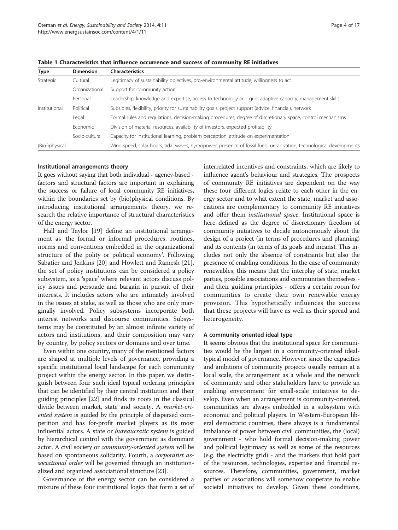| Type           | <b>Dimension</b> | <b>Characteristics</b>                                                                                               |  |
|----------------|------------------|----------------------------------------------------------------------------------------------------------------------|--|
| Strategic      | Cultural         | Legitimacy of sustainability objectives, pro-environmental attitude, willingness to act                              |  |
|                | Organizational   | Support for community action                                                                                         |  |
|                | Personal         | Leadership, knowledge and expertise, access to technology and grid, adaptive capacity, management skills             |  |
| Institutional  | Political        | Subsidies, flexibility, priority for sustainability goals, project support (advice, financial), network              |  |
|                | Legal            | Formal rules and regulations, decision-making procedures, degree of discretionary space, control mechanisms          |  |
|                | Economic         | Division of material resources, availability of investors, expected profitability                                    |  |
|                | Socio-cultural   | Capacity for institutional learning, problem perception, attitude on experimentation                                 |  |
| (Bio-)physical |                  | Wind speed, solar hours, tidal waves, hydropower; presence of fossil fuels, urbanization, technological developments |  |

<span id="page-3-0"></span>Table 1 Characteristics that influence occurrence and success of community RE initiatives

#### Institutional arrangements theory

It goes without saying that both individual - agency-based factors and structural factors are important in explaining the success or failure of local community RE initiatives, within the boundaries set by (bio)physical conditions. By introducing institutional arrangements theory, we research the relative importance of structural characteristics of the energy sector.

Hall and Taylor [\[19\]](#page-15-0) define an institutional arrangement as 'the formal or informal procedures, routines, norms and conventions embedded in the organizational structure of the polity or political economy'. Following Sabatier and Jenkins [\[20](#page-15-0)] and Howlett and Ramesh [\[21](#page-15-0)], the set of policy institutions can be considered a policy subsystem, as a 'space' where relevant actors discuss policy issues and persuade and bargain in pursuit of their interests. It includes actors who are intimately involved in the issues at stake, as well as those who are only marginally involved. Policy subsystems incorporate both interest networks and discourse communities. Subsystems may be constituted by an almost infinite variety of actors and institutions, and their composition may vary by country, by policy sectors or domains and over time.

Even within one country, many of the mentioned factors are shaped at multiple levels of governance, providing a specific institutional local landscape for each community project within the energy sector. In this paper, we distinguish between four such ideal typical ordering principles that can be identified by their central institution and their guiding principles [[22](#page-15-0)] and finds its roots in the classical divide between market, state and society. A market-oriented system is guided by the principle of dispersed competition and has for-profit market players as its most influential actors. A state or *bureaucratic system* is guided by hierarchical control with the government as dominant actor. A civil society or community-oriented system will be based on spontaneous solidarity. Fourth, a corporatist associational order will be governed through an institutionalized and organized associational structure [\[23\]](#page-15-0).

Governance of the energy sector can be considered a mixture of these four institutional logics that form a set of interrelated incentives and constraints, which are likely to influence agent's behaviour and strategies. The prospects of community RE initiatives are dependent on the way these four different logics relate to each other in the energy sector and to what extent the state, market and associations are complementary to community RE initiatives and offer them institutional space. Institutional space is here defined as the degree of discretionary freedom of community initiatives to decide autonomously about the design of a project (in terms of procedures and planning) and its contents (in terms of its goals and means). This includes not only the absence of constraints but also the presence of enabling conditions. In the case of community renewables, this means that the interplay of state, market parties, possible associations and communities themselves and their guiding principles - offers a certain room for communities to create their own renewable energy provision. This hypothetically influences the success that these projects will have as well as their spread and heterogeneity.

#### A community-oriented ideal type

It seems obvious that the institutional space for communities would be the largest in a community-oriented idealtypical model of governance. However, since the capacities and ambitions of community projects usually remain at a local scale, the arrangement as a whole and the network of community and other stakeholders have to provide an enabling environment for small-scale initiatives to develop. Even when an arrangement is community-oriented, communities are always embedded in a subsystem with economic and political players. In Western-European liberal democratic countries, there always is a fundamental imbalance of power between civil communities, the (local) government - who hold formal decision-making power and political legitimacy as well as some of the resources (e.g. the electricity grid) - and the markets that hold part of the resources, technologies, expertise and financial resources. Therefore, communities, government, market parties or associations will somehow cooperate to enable societal initiatives to develop. Given these conditions,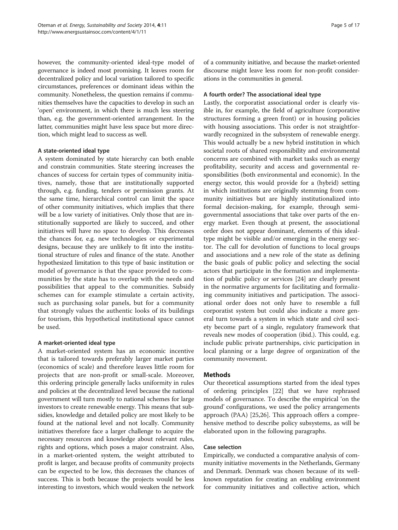however, the community-oriented ideal-type model of governance is indeed most promising. It leaves room for decentralized policy and local variation tailored to specific circumstances, preferences or dominant ideas within the community. Nonetheless, the question remains if communities themselves have the capacities to develop in such an 'open' environment, in which there is much less steering than, e.g. the government-oriented arrangement. In the latter, communities might have less space but more direction, which might lead to success as well.

#### A state-oriented ideal type

A system dominated by state hierarchy can both enable and constrain communities. State steering increases the chances of success for certain types of community initiatives, namely, those that are institutionally supported through, e.g. funding, tenders or permission grants. At the same time, hierarchical control can limit the space of other community initiatives, which implies that there will be a low variety of initiatives. Only those that are institutionally supported are likely to succeed, and other initiatives will have no space to develop. This decreases the chances for, e.g. new technologies or experimental designs, because they are unlikely to fit into the institutional structure of rules and finance of the state. Another hypothesized limitation to this type of basic institution or model of governance is that the space provided to communities by the state has to overlap with the needs and possibilities that appeal to the communities. Subsidy schemes can for example stimulate a certain activity, such as purchasing solar panels, but for a community that strongly values the authentic looks of its buildings for tourism, this hypothetical institutional space cannot be used.

# A market-oriented ideal type

A market-oriented system has an economic incentive that is tailored towards preferably larger market parties (economics of scale) and therefore leaves little room for projects that are non-profit or small-scale. Moreover, this ordering principle generally lacks uniformity in rules and policies at the decentralized level because the national government will turn mostly to national schemes for large investors to create renewable energy. This means that subsidies, knowledge and detailed policy are most likely to be found at the national level and not locally. Community initiatives therefore face a larger challenge to acquire the necessary resources and knowledge about relevant rules, rights and options, which poses a major constraint. Also, in a market-oriented system, the weight attributed to profit is larger, and because profits of community projects can be expected to be low, this decreases the chances of success. This is both because the projects would be less interesting to investors, which would weaken the network of a community initiative, and because the market-oriented discourse might leave less room for non-profit considerations in the communities in general.

### A fourth order? The associational ideal type

Lastly, the corporatist associational order is clearly visible in, for example, the field of agriculture (corporative structures forming a green front) or in housing policies with housing associations. This order is not straightforwardly recognized in the subsystem of renewable energy. This would actually be a new hybrid institution in which societal roots of shared responsibility and environmental concerns are combined with market tasks such as energy profitability, security and access and governmental responsibilities (both environmental and economic). In the energy sector, this would provide for a (hybrid) setting in which institutions are originally stemming from community initiatives but are highly institutionalized into formal decision-making, for example, through semigovernmental associations that take over parts of the energy market. Even though at present, the associational order does not appear dominant, elements of this idealtype might be visible and/or emerging in the energy sector. The call for devolution of functions to local groups and associations and a new role of the state as defining the basic goals of public policy and selecting the social actors that participate in the formation and implementation of public policy or services [\[24\]](#page-15-0) are clearly present in the normative arguments for facilitating and formalizing community initiatives and participation. The associational order does not only have to resemble a full corporatist system but could also indicate a more general turn towards a system in which state and civil society become part of a single, regulatory framework that reveals new modes of cooperation (ibid.). This could, e.g. include public private partnerships, civic participation in local planning or a large degree of organization of the community movement.

# Methods

Our theoretical assumptions started from the ideal types of ordering principles [\[22](#page-15-0)] that we have rephrased models of governance. To describe the empirical 'on the ground' configurations, we used the policy arrangements approach (PAA) [\[25,26](#page-15-0)]. This approach offers a comprehensive method to describe policy subsystems, as will be elaborated upon in the following paragraphs.

# Case selection

Empirically, we conducted a comparative analysis of community initiative movements in the Netherlands, Germany and Denmark. Denmark was chosen because of its wellknown reputation for creating an enabling environment for community initiatives and collective action, which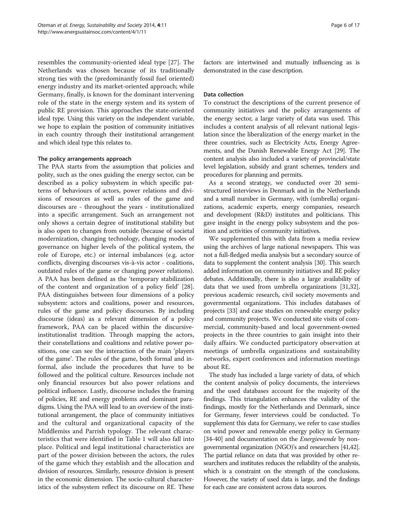resembles the community-oriented ideal type [[27](#page-15-0)]. The Netherlands was chosen because of its traditionally strong ties with the (predominantly fossil fuel oriented) energy industry and its market-oriented approach; while Germany, finally, is known for the dominant intervening role of the state in the energy system and its system of public RE provision. This approaches the state-oriented ideal type. Using this variety on the independent variable, we hope to explain the position of community initiatives in each country through their institutional arrangement and which ideal type this relates to.

#### The policy arrangements approach

The PAA starts from the assumption that policies and polity, such as the ones guiding the energy sector, can be described as a policy subsystem in which specific patterns of behaviours of actors, power relations and divisions of resources as well as rules of the game and discourses are - throughout the years - institutionalized into a specific arrangement. Such an arrangement not only shows a certain degree of institutional stability but is also open to changes from outside (because of societal modernization, changing technology, changing modes of governance on higher levels of the political system, the role of Europe, etc.) or internal imbalances (e.g. actor conflicts, diverging discourses vis-à-vis actor - coalitions, outdated rules of the game or changing power relations). A PAA has been defined as the 'temporary stabilization of the content and organization of a policy field' [\[28](#page-15-0)]. PAA distinguishes between four dimensions of a policy subsystem: actors and coalitions, power and resources, rules of the game and policy discourses. By including discourse (ideas) as a relevant dimension of a policy framework, PAA can be placed within the discursiveinstitutionalist tradition. Through mapping the actors, their constellations and coalitions and relative power positions, one can see the interaction of the main 'players of the game'. The rules of the game, both formal and informal, also include the procedures that have to be followed and the political culture. Resources include not only financial resources but also power relations and political influence. Lastly, discourse includes the framing of policies, RE and energy problems and dominant paradigms. Using the PAA will lead to an overview of the institutional arrangement, the place of community initiatives and the cultural and organizational capacity of the Middlemiss and Parrish typology. The relevant characteristics that were identified in Table [1](#page-3-0) will also fall into place. Political and legal institutional characteristics are part of the power division between the actors, the rules of the game which they establish and the allocation and division of resources. Similarly, resource division is present in the economic dimension. The socio-cultural characteristics of the subsystem reflect its discourse on RE. These factors are intertwined and mutually influencing as is demonstrated in the case description.

#### Data collection

To construct the descriptions of the current presence of community initiatives and the policy arrangements of the energy sector, a large variety of data was used. This includes a content analysis of all relevant national legislation since the liberalization of the energy market in the three countries, such as Electricity Acts, Energy Agreements, and the Danish Renewable Energy Act [[29](#page-15-0)]. The content analysis also included a variety of provincial/state level legislation, subsidy and grant schemes, tenders and procedures for planning and permits.

As a second strategy, we conducted over 20 semistructured interviews in Denmark and in the Netherlands and a small number in Germany, with (umbrella) organizations, academic experts, energy companies, research and development (R&D) institutes and politicians. This gave insight in the energy policy subsystem and the position and activities of community initiatives.

We supplemented this with data from a media review using the archives of large national newspapers. This was not a full-fledged media analysis but a secondary source of data to supplement the content analysis [[30](#page-15-0)]. This search added information on community initiatives and RE policy debates. Additionally, there is also a large availability of data that we used from umbrella organizations [\[31,32](#page-15-0)], previous academic research, civil society movements and governmental organizations. This includes databases of projects [[33](#page-15-0)] and case studies on renewable energy policy and community projects. We conducted site visits of commercial, community-based and local government-owned projects in the three countries to gain insight into their daily affairs. We conducted participatory observation at meetings of umbrella organizations and sustainability networks, expert conferences and information meetings about RE.

The study has included a large variety of data, of which the content analysis of policy documents, the interviews and the used databases account for the majority of the findings. This triangulation enhances the validity of the findings, mostly for the Netherlands and Denmark, since for Germany, fewer interviews could be conducted. To supplement this data for Germany, we refer to case studies on wind power and renewable energy policy in Germany [[34](#page-15-0)-[40\]](#page-15-0) and documentation on the *Energiewende* by nongovernmental organization (NGO)'s and researchers [\[41,42\]](#page-15-0). The partial reliance on data that was provided by other researchers and institutes reduces the reliability of the analysis, which is a constraint on the strength of the conclusions. However, the variety of used data is large, and the findings for each case are consistent across data sources.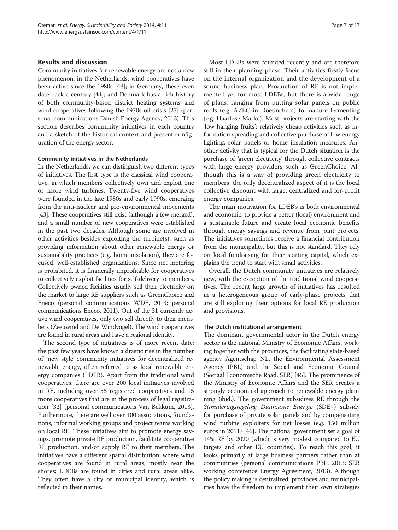#### Results and discussion

Community initiatives for renewable energy are not a new phenomenon: in the Netherlands, wind cooperatives have been active since the 1980s [\[43\]](#page-15-0); in Germany, these even date back a century [[44](#page-15-0)]; and Denmark has a rich history of both community-based district heating systems and wind cooperatives following the 1970s oil crisis [\[27\]](#page-15-0) (personal communications Danish Energy Agency, 2013). This section describes community initiatives in each country and a sketch of the historical context and present configuration of the energy sector.

#### Community initiatives in the Netherlands

In the Netherlands, we can distinguish two different types of initiatives. The first type is the classical wind cooperative, in which members collectively own and exploit one or more wind turbines. Twenty-five wind cooperatives were founded in the late 1980s and early 1990s, emerging from the anti-nuclear and pro-environmental movements [[43](#page-15-0)]. These cooperatives still exist (although a few merged), and a small number of new cooperatives were established in the past two decades. Although some are involved in other activities besides exploiting the turbine(s), such as providing information about other renewable energy or sustainability practices (e.g. home insolation), they are focused, well-established organizations. Since net metering is prohibited, it is financially unprofitable for cooperatives to collectively exploit facilities for self-delivery to members. Collectively owned facilities usually sell their electricity on the market to large RE suppliers such as GreenChoice and Eneco (personal communications WDE, 2013; personal communications Eneco, 2011). Out of the 31 currently active wind cooperatives, only two sell directly to their members (Zeeuwind and De Windvogel). The wind cooperatives are found in rural areas and have a regional identity.

The second type of initiatives is of more recent date: the past few years have known a drastic rise in the number of 'new style' community initiatives for decentralized renewable energy, often referred to as local renewable energy companies (LDEB). Apart from the traditional wind cooperatives, there are over 200 local initiatives involved in RE, including over 55 registered cooperatives and 15 more cooperatives that are in the process of legal registration [[32](#page-15-0)] (personal communications Van Bekkum, 2013). Furthermore, there are well over 100 associations, foundations, informal working groups and project teams working on local RE. These initiatives aim to promote energy savings, promote private RE production, facilitate cooperative RE production, and/or supply RE to their members. The initiatives have a different spatial distribution: where wind cooperatives are found in rural areas, mostly near the shores; LDEBs are found in cities and rural areas alike. They often have a city or municipal identity, which is reflected in their names.

Most LDEBs were founded recently and are therefore still in their planning phase. Their activities firstly focus on the internal organization and the development of a sound business plan. Production of RE is not implemented yet for most LDEBs, but there is a wide range of plans, ranging from putting solar panels on public roofs (e.g. AZEC in Doetinchem) to manure fermenting (e.g. Haarlose Marke). Most projects are starting with the 'low hanging fruits': relatively cheap activities such as information spreading and collective purchase of low energy lighting, solar panels or home insulation measures. Another activity that is typical for the Dutch situation is the purchase of 'green electricity' through collective contracts with large energy providers such as GreenChoice. Although this is a way of providing green electricity to members, the only decentralized aspect of it is the local collective discount with large, centralized and for-profit energy companies.

The main motivation for LDEB's is both environmental and economic: to provide a better (local) environment and a sustainable future and create local economic benefits through energy savings and revenue from joint projects. The initiatives sometimes receive a financial contribution from the municipality, but this is not standard. They rely on local fundraising for their starting capital, which explains the trend to start with small activities.

Overall, the Dutch community initiatives are relatively new, with the exception of the traditional wind cooperatives. The recent large growth of initiatives has resulted in a heterogeneous group of early-phase projects that are still exploring their options for local RE production and provisions.

#### The Dutch institutional arrangement

The dominant governmental actor in the Dutch energy sector is the national Ministry of Economic Affairs, working together with the provinces, the facilitating state-based agency Agentschap NL, the Environmental Assessment Agency (PBL) and the Social and Economic Council (Sociaal Economische Raad, SER) [\[45\]](#page-15-0). The prominence of the Ministry of Economic Affairs and the SER creates a strongly economical approach to renewable energy planning (ibid.). The government subsidizes RE through the Stimuleringsregeling Duurzame Energie (SDE+) subsidy for purchase of private solar panels and by compensating wind turbine exploiters for net losses (e.g. 150 million euros in 2011) [\[46\]](#page-15-0). The national government set a goal of 14% RE by 2020 (which is very modest compared to EU targets and other EU countries). To reach this goal, it looks primarily at large business partners rather than at communities (personal communications PBL, 2013; SER working conference Energy Agreement, 2013). Although the policy making is centralized, provinces and municipalities have the freedom to implement their own strategies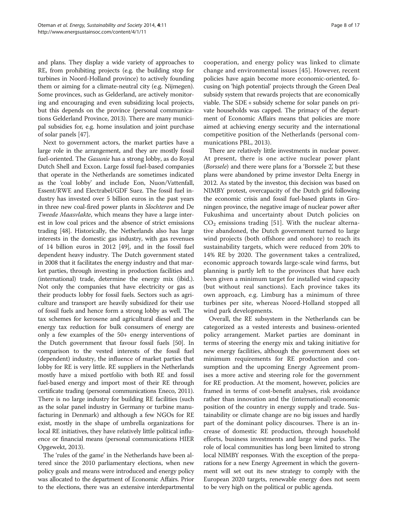and plans. They display a wide variety of approaches to RE, from prohibiting projects (e.g. the building stop for turbines in Noord-Holland province) to actively founding them or aiming for a climate-neutral city (e.g. Nijmegen). Some provinces, such as Gelderland, are actively monitoring and encouraging and even subsidizing local projects, but this depends on the province (personal communications Gelderland Province, 2013). There are many municipal subsidies for, e.g. home insulation and joint purchase of solar panels [[47](#page-15-0)].

Next to government actors, the market parties have a large role in the arrangement, and they are mostly fossil fuel-oriented. The Gasunie has a strong lobby, as do Royal Dutch Shell and Exxon. Large fossil fuel-based companies that operate in the Netherlands are sometimes indicated as the 'coal lobby' and include Eon, Nuon/Vattenfall, Essent/RWE and Electrabel/GDF Suez. The fossil fuel industry has invested over 5 billion euros in the past years in three new coal-fired power plants in Slochteren and De Tweede Maasvlakte, which means they have a large interest in low coal prices and the absence of strict emissions trading [[48](#page-15-0)]. Historically, the Netherlands also has large interests in the domestic gas industry, with gas revenues of 14 billion euros in 2012 [[49\]](#page-15-0), and in the fossil fuel dependent heavy industry. The Dutch government stated in 2008 that it facilitates the energy industry and that market parties, through investing in production facilities and (international) trade, determine the energy mix (ibid.). Not only the companies that have electricity or gas as their products lobby for fossil fuels. Sectors such as agriculture and transport are heavily subsidized for their use of fossil fuels and hence form a strong lobby as well. The tax schemes for kerosene and agricultural diesel and the energy tax reduction for bulk consumers of energy are only a few examples of the 50+ energy interventions of the Dutch government that favour fossil fuels [[50\]](#page-15-0). In comparison to the vested interests of the fossil fuel (dependent) industry, the influence of market parties that lobby for RE is very little. RE suppliers in the Netherlands mostly have a mixed portfolio with both RE and fossil fuel-based energy and import most of their RE through certificate trading (personal communications Eneco, 2011). There is no large industry for building RE facilities (such as the solar panel industry in Germany or turbine manufacturing in Denmark) and although a few NGOs for RE exist, mostly in the shape of umbrella organizations for local RE initiatives, they have relatively little political influence or financial means (personal communications HIER Opgewekt, 2013).

The 'rules of the game' in the Netherlands have been altered since the 2010 parliamentary elections, when new policy goals and means were introduced and energy policy was allocated to the department of Economic Affairs. Prior to the elections, there was an extensive interdepartmental

cooperation, and energy policy was linked to climate change and environmental issues [[45](#page-15-0)]. However, recent policies have again become more economic-oriented, focusing on 'high potential' projects through the Green Deal subsidy system that rewards projects that are economically viable. The SDE + subsidy scheme for solar panels on private households was capped. The primacy of the department of Economic Affairs means that policies are more aimed at achieving energy security and the international competitive position of the Netherlands (personal communications PBL, 2013).

There are relatively little investments in nuclear power. At present, there is one active nuclear power plant (Borssele) and there were plans for a 'Borssele 2', but these plans were abandoned by prime investor Delta Energy in 2012. As stated by the investor, this decision was based on NIMBY protest, overcapacity of the Dutch grid following the economic crisis and fossil fuel-based plants in Groningen province, the negative image of nuclear power after Fukushima and uncertainty about Dutch policies on  $CO<sub>2</sub>$  emissions trading [[51\]](#page-15-0). With the nuclear alternative abandoned, the Dutch government turned to large wind projects (both offshore and onshore) to reach its sustainability targets, which were reduced from 20% to 14% RE by 2020. The government takes a centralized, economic approach towards large-scale wind farms, but planning is partly left to the provinces that have each been given a minimum target for installed wind capacity (but without real sanctions). Each province takes its own approach, e.g. Limburg has a minimum of three turbines per site, whereas Noord-Holland stopped all wind park developments.

Overall, the RE subsystem in the Netherlands can be categorized as a vested interests and business-oriented policy arrangement. Market parties are dominant in terms of steering the energy mix and taking initiative for new energy facilities, although the government does set minimum requirements for RE production and consumption and the upcoming Energy Agreement promises a more active and steering role for the government for RE production. At the moment, however, policies are framed in terms of cost-benefit analyses, risk avoidance rather than innovation and the (international) economic position of the country in energy supply and trade. Sustainability or climate change are no big issues and hardly part of the dominant policy discourses. There is an increase of domestic RE production, through household efforts, business investments and large wind parks. The role of local communities has long been limited to strong local NIMBY responses. With the exception of the preparations for a new Energy Agreement in which the government will set out its new strategy to comply with the European 2020 targets, renewable energy does not seem to be very high on the political or public agenda.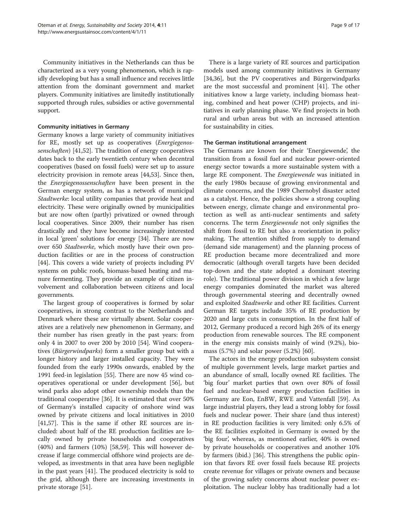Community initiatives in the Netherlands can thus be characterized as a very young phenomenon, which is rapidly developing but has a small influence and receives little attention from the dominant government and market players. Community initiatives are limitedly institutionally supported through rules, subsidies or active governmental support.

### Community initiatives in Germany

Germany knows a large variety of community initiatives for RE, mostly set up as cooperatives (Energiegenossenschaften) [[41,52\]](#page-15-0). The tradition of energy cooperatives dates back to the early twentieth century when decentral cooperatives (based on fossil fuels) were set up to assure electricity provision in remote areas [[44,53\]](#page-15-0). Since then, the Energiegenossenschaften have been present in the German energy system, as has a network of municipal Stadtwerke: local utility companies that provide heat and electricity. These were originally owned by municipalities but are now often (partly) privatized or owned through local cooperatives. Since 2009, their number has risen drastically and they have become increasingly interested in local 'green' solutions for energy [\[34\]](#page-15-0). There are now over 650 Stadtwerke, which mostly have their own production facilities or are in the process of construction [[44](#page-15-0)]. This covers a wide variety of projects including PV systems on public roofs, biomass-based heating and manure fermenting. They provide an example of citizen involvement and collaboration between citizens and local governments.

The largest group of cooperatives is formed by solar cooperatives, in strong contrast to the Netherlands and Denmark where these are virtually absent. Solar cooperatives are a relatively new phenomenon in Germany, and their number has risen greatly in the past years: from only 4 in 2007 to over 200 by 2010 [[54\]](#page-15-0). Wind cooperatives (Bürgerwindparks) form a smaller group but with a longer history and larger installed capacity. They were founded from the early 1990s onwards, enabled by the 1991 feed-in legislation [[55\]](#page-15-0). There are now 45 wind cooperatives operational or under development [[56\]](#page-15-0), but wind parks also adopt other ownership models than the traditional cooperative [[36\]](#page-15-0). It is estimated that over 50% of Germany's installed capacity of onshore wind was owned by private citizens and local initiatives in 2010 [[41,57\]](#page-15-0). This is the same if other RE sources are included: about half of the RE production facilities are locally owned by private households and cooperatives (40%) and farmers (10%) [[58](#page-15-0),[59](#page-15-0)]. This will however decrease if large commercial offshore wind projects are developed, as investments in that area have been negligible in the past years [[41](#page-15-0)]. The produced electricity is sold to the grid, although there are increasing investments in private storage [[51\]](#page-15-0).

There is a large variety of RE sources and participation models used among community initiatives in Germany [[34,36\]](#page-15-0), but the PV cooperatives and Bürgerwindparks are the most successful and prominent [\[41](#page-15-0)]. The other initiatives know a large variety, including biomass heating, combined and heat power (CHP) projects, and initiatives in early planning phase. We find projects in both rural and urban areas but with an increased attention for sustainability in cities.

# The German institutional arrangement

The Germans are known for their 'Energiewende', the transition from a fossil fuel and nuclear power-oriented energy sector towards a more sustainable system with a large RE component. The *Energiewende* was initiated in the early 1980s because of growing environmental and climate concerns, and the 1989 Chernobyl disaster acted as a catalyst. Hence, the policies show a strong coupling between energy, climate change and environmental protection as well as anti-nuclear sentiments and safety concerns. The term Energiewende not only signifies the shift from fossil to RE but also a reorientation in policy making. The attention shifted from supply to demand (demand side management) and the planning process of RE production became more decentralized and more democratic (although overall targets have been decided top-down and the state adopted a dominant steering role). The traditional power division in which a few large energy companies dominated the market was altered through governmental steering and decentrally owned and exploited Stadtwerke and other RE facilities. Current German RE targets include 35% of RE production by 2020 and large cuts in consumption. In the first half of 2012, Germany produced a record high 26% of its energy production from renewable sources. The RE component in the energy mix consists mainly of wind (9.2%), biomass (5.7%) and solar power (5.2%) [[60\]](#page-15-0).

The actors in the energy production subsystem consist of multiple government levels, large market parties and an abundance of small, locally owned RE facilities. The 'big four' market parties that own over 80% of fossil fuel and nuclear-based energy production facilities in Germany are Eon, EnBW, RWE and Vattenfall [[59](#page-15-0)]. As large industrial players, they lead a strong lobby for fossil fuels and nuclear power. Their share (and thus interest) in RE production facilities is very limited: only 6.5% of the RE facilities exploited in Germany is owned by the 'big four', whereas, as mentioned earlier, 40% is owned by private households or cooperatives and another 10% by farmers (ibid.) [[36\]](#page-15-0). This strengthens the public opinion that favors RE over fossil fuels because RE projects create revenue for villages or private owners and because of the growing safety concerns about nuclear power exploitation. The nuclear lobby has traditionally had a lot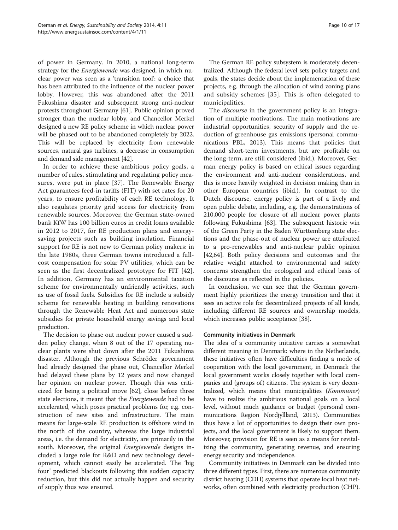of power in Germany. In 2010, a national long-term strategy for the Energiewende was designed, in which nuclear power was seen as a 'transition tool': a choice that has been attributed to the influence of the nuclear power lobby. However, this was abandoned after the 2011 Fukushima disaster and subsequent strong anti-nuclear protests throughout Germany [\[61\]](#page-15-0). Public opinion proved stronger than the nuclear lobby, and Chancellor Merkel designed a new RE policy scheme in which nuclear power will be phased out to be abandoned completely by 2022. This will be replaced by electricity from renewable sources, natural gas turbines, a decrease in consumption and demand side management [[42](#page-15-0)].

In order to achieve these ambitious policy goals, a number of rules, stimulating and regulating policy measures, were put in place [[37\]](#page-15-0). The Renewable Energy Act guarantees feed-in tariffs (FIT) with set rates for 20 years, to ensure profitability of each RE technology. It also regulates priority grid access for electricity from renewable sources. Moreover, the German state-owned bank KfW has 100 billion euros in credit loans available in 2012 to 2017, for RE production plans and energysaving projects such as building insulation. Financial support for RE is not new to German policy makers: in the late 1980s, three German towns introduced a fullcost compensation for solar PV utilities, which can be seen as the first decentralized prototype for FIT [[42](#page-15-0)]. In addition, Germany has an environmental taxation scheme for environmentally unfriendly activities, such as use of fossil fuels. Subsidies for RE include a subsidy scheme for renewable heating in building renovations through the Renewable Heat Act and numerous state subsidies for private household energy savings and local production.

The decision to phase out nuclear power caused a sudden policy change, when 8 out of the 17 operating nuclear plants were shut down after the 2011 Fukushima disaster. Although the previous Schröder government had already designed the phase out, Chancellor Merkel had delayed these plans by 12 years and now changed her opinion on nuclear power. Though this was criticized for being a political move [[62\]](#page-15-0), close before three state elections, it meant that the Energiewende had to be accelerated, which poses practical problems for, e.g. construction of new sites and infrastructure. The main means for large-scale RE production is offshore wind in the north of the country, whereas the large industrial areas, i.e. the demand for electricity, are primarily in the south. Moreover, the original *Energiewende* designs included a large role for R&D and new technology development, which cannot easily be accelerated. The 'big four' predicted blackouts following this sudden capacity reduction, but this did not actually happen and security of supply thus was ensured.

The German RE policy subsystem is moderately decentralized. Although the federal level sets policy targets and goals, the states decide about the implementation of these projects, e.g. through the allocation of wind zoning plans and subsidy schemes [\[35](#page-15-0)]. This is often delegated to municipalities.

The *discourse* in the government policy is an integration of multiple motivations. The main motivations are industrial opportunities, security of supply and the reduction of greenhouse gas emissions (personal communications PBL, 2013). This means that policies that demand short-term investments, but are profitable on the long-term, are still considered (ibid.). Moreover, German energy policy is based on ethical issues regarding the environment and anti-nuclear considerations, and this is more heavily weighted in decision making than in other European countries (ibid.). In contrast to the Dutch discourse, energy policy is part of a lively and open public debate, including, e.g. the demonstrations of 210,000 people for closure of all nuclear power plants following Fukushima [[63\]](#page-15-0). The subsequent historic win of the Green Party in the Baden Württemberg state elections and the phase-out of nuclear power are attributed to a pro-renewables and anti-nuclear public opinion [[42,64\]](#page-15-0). Both policy decisions and outcomes and the relative weight attached to environmental and safety concerns strengthen the ecological and ethical basis of the discourse as reflected in the policies.

In conclusion, we can see that the German government highly prioritizes the energy transition and that it sees an active role for decentralized projects of all kinds, including different RE sources and ownership models, which increases public acceptance [[38\]](#page-15-0).

#### Community initiatives in Denmark

The idea of a community initiative carries a somewhat different meaning in Denmark: where in the Netherlands, these initiatives often have difficulties finding a mode of cooperation with the local government, in Denmark the local government works closely together with local companies and (groups of) citizens. The system is very decentralized, which means that municipalities (Kommuner) have to realize the ambitious national goals on a local level, without much guidance or budget (personal communications Region Nordjyllland, 2013). Communities thus have a lot of opportunities to design their own projects, and the local government is likely to support them. Moreover, provision for RE is seen as a means for revitalizing the community, generating revenue, and ensuring energy security and independence.

Community initiatives in Denmark can be divided into three different types. First, there are numerous community district heating (CDH) systems that operate local heat networks, often combined with electricity production (CHP).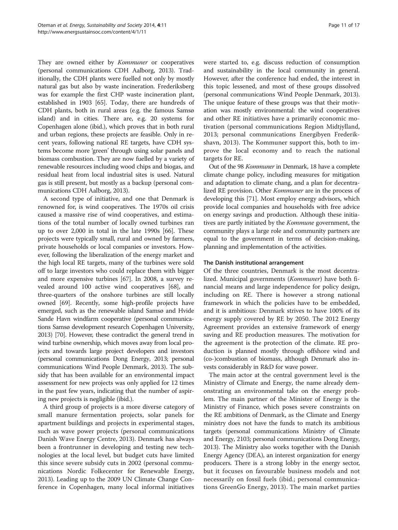They are owned either by *Kommuner* or cooperatives (personal communications CDH Aalborg, 2013). Traditionally, the CDH plants were fuelled not only by mostly natural gas but also by waste incineration. Frederiksberg was for example the first CHP waste incineration plant, established in 1903 [\[65](#page-15-0)]. Today, there are hundreds of CDH plants, both in rural areas (e.g. the famous Samsø island) and in cities. There are, e.g. 20 systems for Copenhagen alone (ibid.), which proves that in both rural and urban regions, these projects are feasible. Only in recent years, following national RE targets, have CDH systems become more 'green' through using solar panels and biomass combustion. They are now fuelled by a variety of renewable resources including wood chips and biogas, and residual heat from local industrial sites is used. Natural gas is still present, but mostly as a backup (personal communications CDH Aalborg, 2013).

A second type of initiative, and one that Denmark is renowned for, is wind cooperatives. The 1970s oil crisis caused a massive rise of wind cooperatives, and estimations of the total number of locally owned turbines ran up to over 2,000 in total in the late 1990s [[66\]](#page-15-0). These projects were typically small, rural and owned by farmers, private households or local companies or investors. However, following the liberalization of the energy market and the high local RE targets, many of the turbines were sold off to large investors who could replace them with bigger and more expensive turbines [[67](#page-15-0)]. In 2008, a survey revealed around 100 active wind cooperatives [\[68\]](#page-15-0), and three-quarters of the onshore turbines are still locally owned [\[69\]](#page-15-0). Recently, some high-profile projects have emerged, such as the renewable island Samsø and Hvide Sande Havn windfarm cooperative (personal communications Samsø development research Copenhagen University, 2013) [\[70\]](#page-16-0). However, these contradict the general trend in wind turbine ownership, which moves away from local projects and towards large project developers and investors (personal communications Dong Energy, 2013; personal communications Wind People Denmark, 2013). The subsidy that has been available for an environmental impact assessment for new projects was only applied for 12 times in the past few years, indicating that the number of aspiring new projects is negligible (ibid.).

A third group of projects is a more diverse category of small manure fermentation projects, solar panels for apartment buildings and projects in experimental stages, such as wave power projects (personal communications Danish Wave Energy Centre, 2013). Denmark has always been a frontrunner in developing and testing new technologies at the local level, but budget cuts have limited this since severe subsidy cuts in 2002 (personal communications Nordic Folkecenter for Renewable Energy, 2013). Leading up to the 2009 UN Climate Change Conference in Copenhagen, many local informal initiatives

were started to, e.g. discuss reduction of consumption and sustainability in the local community in general. However, after the conference had ended, the interest in this topic lessened, and most of these groups dissolved (personal communications Wind People Denmark, 2013). The unique feature of these groups was that their motivation was mostly environmental: the wind cooperatives and other RE initiatives have a primarily economic motivation (personal communications Region Midtjylland, 2013; personal communications Energibyen Frederikshavn, 2013). The Kommuner support this, both to improve the local economy and to reach the national targets for RE.

Out of the 98 Kommuner in Denmark, 18 have a complete climate change policy, including measures for mitigation and adaptation to climate chang, and a plan for decentralized RE provision. Other Kommuner are in the process of developing this [\[71\]](#page-16-0). Most employ energy advisors, which provide local companies and households with free advice on energy savings and production. Although these initiatives are partly initiated by the *Kommune* government, the community plays a large role and community partners are equal to the government in terms of decision-making, planning and implementation of the activities.

### The Danish institutional arrangement

Of the three countries, Denmark is the most decentralized. Municipal governments (Kommuner) have both financial means and large independence for policy design, including on RE. There is however a strong national framework in which the policies have to be embedded, and it is ambitious: Denmark strives to have 100% of its energy supply covered by RE by 2050. The 2012 Energy Agreement provides an extensive framework of energy saving and RE production measures. The motivation for the agreement is the protection of the climate. RE production is planned mostly through offshore wind and (co-)combustion of biomass, although Denmark also invests considerably in R&D for wave power.

The main actor at the central government level is the Ministry of Climate and Energy, the name already demonstrating an environmental take on the energy problem. The main partner of the Minister of Energy is the Ministry of Finance, which poses severe constraints on the RE ambitions of Denmark, as the Climate and Energy ministry does not have the funds to match its ambitious targets (personal communications Ministry of Climate and Energy, 2103; personal communications Dong Energy, 2013). The Ministry also works together with the Danish Energy Agency (DEA), an interest organization for energy producers. There is a strong lobby in the energy sector, but it focuses on favourable business models and not necessarily on fossil fuels (ibid.; personal communications GreenGo Energy, 2013). The main market parties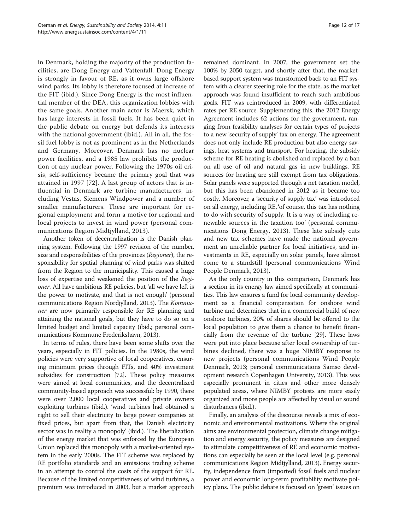in Denmark, holding the majority of the production facilities, are Dong Energy and Vattenfall. Dong Energy is strongly in favour of RE, as it owns large offshore wind parks. Its lobby is therefore focused at increase of the FIT (ibid.). Since Dong Energy is the most influential member of the DEA, this organization lobbies with the same goals. Another main actor is Maersk, which has large interests in fossil fuels. It has been quiet in the public debate on energy but defends its interests with the national government (ibid.). All in all, the fossil fuel lobby is not as prominent as in the Netherlands and Germany. Moreover, Denmark has no nuclear power facilities, and a 1985 law prohibits the production of any nuclear power. Following the 1970s oil crisis, self-sufficiency became the primary goal that was attained in 1997 [[72\]](#page-16-0). A last group of actors that is influential in Denmark are turbine manufacturers, including Vestas, Siemens Windpower and a number of smaller manufacturers. These are important for regional employment and form a motive for regional and local projects to invest in wind power (personal communications Region Midtjylland, 2013).

Another token of decentralization is the Danish planning system. Following the 1997 revision of the number, size and responsibilities of the provinces (Regioner), the responsibility for spatial planning of wind parks was shifted from the Region to the municipality. This caused a huge loss of expertise and weakened the position of the Regioner. All have ambitious RE policies, but 'all we have left is the power to motivate, and that is not enough' (personal communications Region Nordjylland, 2013). The Kommuner are now primarily responsible for RE planning and attaining the national goals, but they have to do so on a limited budget and limited capacity (ibid.; personal communications Kommune Frederikshavn, 2013).

In terms of rules, there have been some shifts over the years, especially in FIT policies. In the 1980s, the wind policies were very supportive of local cooperatives, ensuring minimum prices through FITs, and 40% investment subsidies for construction [\[72\]](#page-16-0). These policy measures were aimed at local communities, and the decentralized community-based approach was successful: by 1990, there were over 2,000 local cooperatives and private owners exploiting turbines (ibid.). 'wind turbines had obtained a right to sell their electricity to large power companies at fixed prices, but apart from that, the Danish electricity sector was in reality a monopoly' (ibid.). The liberalization of the energy market that was enforced by the European Union replaced this monopoly with a market-oriented system in the early 2000s. The FIT scheme was replaced by RE portfolio standards and an emissions trading scheme in an attempt to control the costs of the support for RE. Because of the limited competitiveness of wind turbines, a premium was introduced in 2003, but a market approach

remained dominant. In 2007, the government set the 100% by 2050 target, and shortly after that, the marketbased support system was transformed back to an FIT system with a clearer steering role for the state, as the market approach was found insufficient to reach such ambitious goals. FIT was reintroduced in 2009, with differentiated rates per RE source. Supplementing this, the 2012 Energy Agreement includes 62 actions for the government, ranging from feasibility analyses for certain types of projects to a new 'security of supply' tax on energy. The agreement does not only include RE production but also energy savings, heat systems and transport. For heating, the subsidy scheme for RE heating is abolished and replaced by a ban on all use of oil and natural gas in new buildings. RE sources for heating are still exempt from tax obligations. Solar panels were supported through a net taxation model, but this has been abandoned in 2012 as it became too costly. Moreover, a 'security of supply tax' was introduced on all energy, including RE, 'of course, this tax has nothing to do with security of supply. It is a way of including renewable sources in the taxation too' (personal communications Dong Energy, 2013). These late subsidy cuts and new tax schemes have made the national government an unreliable partner for local initiatives, and investments in RE, especially on solar panels, have almost come to a standstill (personal communications Wind People Denmark, 2013).

As the only country in this comparison, Denmark has a section in its energy law aimed specifically at communities. This law ensures a fund for local community development as a financial compensation for onshore wind turbine and determines that in a commercial build of new onshore turbines, 20% of shares should be offered to the local population to give them a chance to benefit financially from the revenue of the turbine [\[29](#page-15-0)]. These laws were put into place because after local ownership of turbines declined, there was a huge NIMBY response to new projects (personal communications Wind People Denmark, 2013; personal communications Samsø development research Copenhagen University, 2013). This was especially prominent in cities and other more densely populated areas, where NIMBY protests are more easily organized and more people are affected by visual or sound disturbances (ibid.).

Finally, an analysis of the discourse reveals a mix of economic and environmental motivations. Where the original aims are environmental protection, climate change mitigation and energy security, the policy measures are designed to stimulate competitiveness of RE and economic motivations can especially be seen at the local level (e.g. personal communications Region Midtjylland, 2013). Energy security, independence from (imported) fossil fuels and nuclear power and economic long-term profitability motivate policy plans. The public debate is focused on 'green' issues on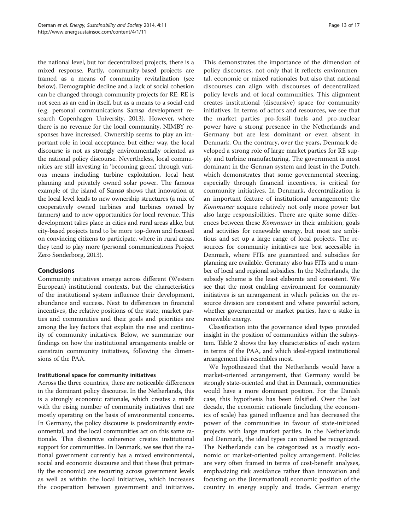the national level, but for decentralized projects, there is a mixed response. Partly, community-based projects are framed as a means of community revitalization (see below). Demographic decline and a lack of social cohesion can be changed through community projects for RE: RE is not seen as an end in itself, but as a means to a social end (e.g. personal communications Samsø development research Copenhagen University, 2013). However, where there is no revenue for the local community, NIMBY responses have increased. Ownership seems to play an important role in local acceptance, but either way, the local discourse is not as strongly environmentally oriented as the national policy discourse. Nevertheless, local communities are still investing in 'becoming green', through various means including turbine exploitation, local heat planning and privately owned solar power. The famous example of the island of Samsø shows that innovation at the local level leads to new ownership structures (a mix of cooperatively owned turbines and turbines owned by farmers) and to new opportunities for local revenue. This development takes place in cities and rural areas alike, but city-based projects tend to be more top-down and focused on convincing citizens to participate, where in rural areas, they tend to play more (personal communications Project Zero Sønderborg, 2013).

# Conclusions

Community initiatives emerge across different (Western European) institutional contexts, but the characteristics of the institutional system influence their development, abundance and success. Next to differences in financial incentives, the relative positions of the state, market parties and communities and their goals and priorities are among the key factors that explain the rise and continuity of community initiatives. Below, we summarize our findings on how the institutional arrangements enable or constrain community initiatives, following the dimensions of the PAA.

# Institutional space for community initiatives

Across the three countries, there are noticeable differences in the dominant policy discourse. In the Netherlands, this is a strongly economic rationale, which creates a misfit with the rising number of community initiatives that are mostly operating on the basis of environmental concerns. In Germany, the policy discourse is predominantly environmental, and the local communities act on this same rationale. This discursive coherence creates institutional support for communities. In Denmark, we see that the national government currently has a mixed environmental, social and economic discourse and that these (but primarily the economic) are recurring across government levels as well as within the local initiatives, which increases the cooperation between government and initiatives.

This demonstrates the importance of the dimension of policy discourses, not only that it reflects environmental, economic or mixed rationales but also that national discourses can align with discourses of decentralized policy levels and of local communities. This alignment creates institutional (discursive) space for community initiatives. In terms of actors and resources, we see that the market parties pro-fossil fuels and pro-nuclear power have a strong presence in the Netherlands and Germany but are less dominant or even absent in Denmark. On the contrary, over the years, Denmark developed a strong role of large market parties for RE supply and turbine manufacturing. The government is most dominant in the German system and least in the Dutch, which demonstrates that some governmental steering, especially through financial incentives, is critical for community initiatives. In Denmark, decentralization is an important feature of institutional arrangement; the Kommuner acquire relatively not only more power but also large responsibilities. There are quite some differences between these Kommuner in their ambition, goals and activities for renewable energy, but most are ambitious and set up a large range of local projects. The resources for community initiatives are best accessible in Denmark, where FITs are guaranteed and subsidies for planning are available. Germany also has FITs and a number of local and regional subsidies. In the Netherlands, the subsidy scheme is the least elaborate and consistent. We see that the most enabling environment for community initiatives is an arrangement in which policies on the resource division are consistent and where powerful actors, whether governmental or market parties, have a stake in renewable energy.

Classification into the governance ideal types provided insight in the position of communities within the subsystem. Table [2](#page-13-0) shows the key characteristics of each system in terms of the PAA, and which ideal-typical institutional arrangement this resembles most.

We hypothesized that the Netherlands would have a market-oriented arrangement, that Germany would be strongly state-oriented and that in Denmark, communities would have a more dominant position. For the Danish case, this hypothesis has been falsified. Over the last decade, the economic rationale (including the economics of scale) has gained influence and has decreased the power of the communities in favour of state-initiated projects with large market parties. In the Netherlands and Denmark, the ideal types can indeed be recognized. The Netherlands can be categorized as a mostly economic or market-oriented policy arrangement. Policies are very often framed in terms of cost-benefit analyses, emphasizing risk avoidance rather than innovation and focusing on the (international) economic position of the country in energy supply and trade. German energy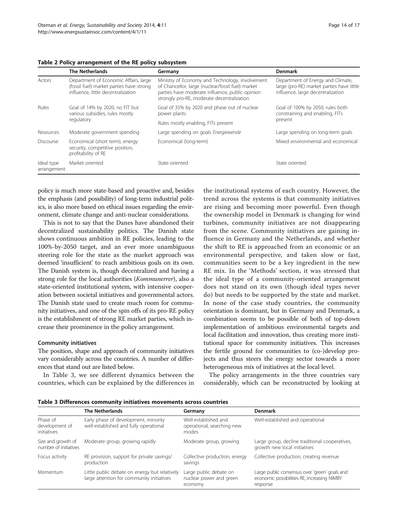|                           | <b>The Netherlands</b>                                                                                                  | Germany                                                                                                                                                                                               | <b>Denmark</b>                                                                                                      |  |
|---------------------------|-------------------------------------------------------------------------------------------------------------------------|-------------------------------------------------------------------------------------------------------------------------------------------------------------------------------------------------------|---------------------------------------------------------------------------------------------------------------------|--|
| Actors                    | Department of Economic Affairs, large<br>(fossil fuel) market parties have strong<br>influence, little decentralization | Ministry of Economy and Technology, involvement<br>of Chancellor, large (nuclear/fossil fuel) market<br>parties have moderate influence, public opinion<br>strongly pro-RE, moderate decentralization | Department of Energy and Climate,<br>large (pro-RE) market parties have little<br>influence, large decentralization |  |
| Rules                     | Goal of 14% by 2020, no FIT but<br>various subsidies, rules mostly                                                      | Goal of 35% by 2020 and phase out of nuclear<br>power plants                                                                                                                                          | Goal of 100% by 2050, rules both<br>constraining and enabling, FITs<br>present                                      |  |
|                           | regulatory                                                                                                              | Rules mostly enabling, FITs present                                                                                                                                                                   |                                                                                                                     |  |
| Resources                 | Moderate government spending                                                                                            | Large spending on goals Energiewende                                                                                                                                                                  | Large spending on long-term goals                                                                                   |  |
| Discourse                 | Economical (short term), energy<br>security, competitive position,<br>profitability of RE                               | Economical (long-term)                                                                                                                                                                                | Mixed environmental and economical                                                                                  |  |
| Ideal type<br>arrangement | Market oriented                                                                                                         | State oriented                                                                                                                                                                                        | State oriented                                                                                                      |  |

<span id="page-13-0"></span>Table 2 Policy arrangement of the RE policy subsystem

policy is much more state-based and proactive and, besides the emphasis (and possibility) of long-term industrial politics, is also more based on ethical issues regarding the environment, climate change and anti-nuclear considerations.

This is not to say that the Danes have abandoned their decentralized sustainability politics. The Danish state shows continuous ambition in RE policies, leading to the 100%-by-2050 target, and an ever more unambiguous steering role for the state as the market approach was deemed 'insufficient' to reach ambitious goals on its own. The Danish system is, though decentralized and having a strong role for the local authorities (Kommunerrer), also a state-oriented institutional system, with intensive cooperation between societal initiatives and governmental actors. The Danish state used to create much room for community initiatives, and one of the spin offs of its pro-RE policy is the establishment of strong RE market parties, which increase their prominence in the policy arrangement.

#### Community initiatives

The position, shape and approach of community initiatives vary considerably across the countries. A number of differences that stand out are listed below.

In Table 3, we see different dynamics between the countries, which can be explained by the differences in

the institutional systems of each country. However, the trend across the systems is that community initiatives are rising and becoming more powerful. Even though the ownership model in Denmark is changing for wind turbines, community initiatives are not disappearing from the scene. Community initiatives are gaining influence in Germany and the Netherlands, and whether the shift to RE is approached from an economic or an environmental perspective, and taken slow or fast, communities seem to be a key ingredient in the new RE mix. In the 'Methods' section, it was stressed that the ideal type of a community-oriented arrangement does not stand on its own (though ideal types never do) but needs to be supported by the state and market. In none of the case study countries, the community orientation is dominant, but in Germany and Denmark, a combination seems to be possible of both of top-down implementation of ambitious environmental targets and local facilitation and innovation, thus creating more institutional space for community initiatives. This increases the fertile ground for communities to (co-)develop projects and thus steers the energy sector towards a more heterogeneous mix of initiatives at the local level.

The policy arrangements in the three countries vary considerably, which can be reconstructed by looking at

Table 3 Differences community initiatives movements across countries

|                                             | <b>The Netherlands</b>                                                                     | Germany                                                      | <b>Denmark</b>                                                                                           |  |  |  |
|---------------------------------------------|--------------------------------------------------------------------------------------------|--------------------------------------------------------------|----------------------------------------------------------------------------------------------------------|--|--|--|
| Phase of<br>development of<br>initiatives   | Early phase of development, minority<br>well-established and fully operational             | Well-established and<br>operational, searching new<br>modes  | Well-established and operational                                                                         |  |  |  |
| Size and growth of<br>number of initiatives | Moderate group, growing rapidly                                                            | Moderate group, growing                                      | Large group, decline traditional cooperatives,<br>growth new local initiatives                           |  |  |  |
| Focus activity                              | RE provision, support for private savings/<br>production                                   | Collective production, energy<br>savings                     | Collective production, creating revenue                                                                  |  |  |  |
| Momentum                                    | Little public debate on energy but relatively<br>large attention for community initiatives | Large public debate on<br>nuclear power and green<br>economy | Large public consensus over 'green' goals and<br>economic possibilities RE, increasing NIMBY<br>response |  |  |  |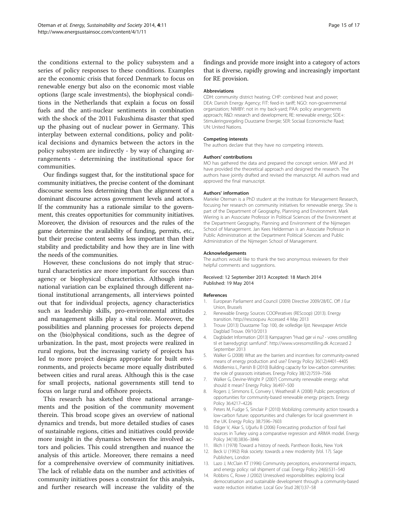<span id="page-14-0"></span>the conditions external to the policy subsystem and a series of policy responses to these conditions. Examples are the economic crisis that forced Denmark to focus on renewable energy but also on the economic most viable options (large scale investments), the biophysical conditions in the Netherlands that explain a focus on fossil fuels and the anti-nuclear sentiments in combination with the shock of the 2011 Fukushima disaster that sped up the phasing out of nuclear power in Germany. This interplay between external conditions, policy and political decisions and dynamics between the actors in the policy subsystem are indirectly - by way of changing arrangements - determining the institutional space for communities.

Our findings suggest that, for the institutional space for community initiatives, the precise content of the dominant discourse seems less determining than the alignment of a dominant discourse across government levels and actors. If the community has a rationale similar to the government, this creates opportunities for community initiatives. Moreover, the division of resources and the rules of the game determine the availability of funding, permits, etc., but their precise content seems less important than their stability and predictability and how they are in line with the needs of the communities.

However, these conclusions do not imply that structural characteristics are more important for success than agency or biophysical characteristics. Although international variation can be explained through different national institutional arrangements, all interviews pointed out that for individual projects, agency characteristics such as leadership skills, pro-environmental attitudes and management skills play a vital role. Moreover, the possibilities and planning processes for projects depend on the (bio)physical conditions, such as the degree of urbanization. In the past, most projects were realized in rural regions, but the increasing variety of projects has led to more project designs appropriate for built environments, and projects became more equally distributed between cities and rural areas. Although this is the case for small projects, national governments still tend to focus on large rural and offshore projects.

This research has sketched three national arrangements and the position of the community movement therein. This broad scope gives an overview of national dynamics and trends, but more detailed studies of cases of sustainable regions, cities and initiatives could provide more insight in the dynamics between the involved actors and policies. This could strengthen and nuance the analysis of this article. Moreover, there remains a need for a comprehensive overview of community initiatives. The lack of reliable data on the number and activities of community initiatives poses a constraint for this analysis, and further research will increase the validity of the

findings and provide more insight into a category of actors that is diverse, rapidly growing and increasingly important for RE provision.

#### Abbreviations

CDH: community district heating; CHP: combined heat and power; DEA: Danish Energy Agency; FIT: feed-in tariff; NGO: non-governmental organization; NIMBY: not in my back-yard; PAA: policy arrangements approach; R&D: research and development; RE: renewable energy; SDE+: Stimuleringsregeling Duurzame Energie; SER: Sociaal Economische Raad; UN: United Nations.

#### Competing interests

The authors declare that they have no competing interests.

#### Authors' contributions

MO has gathered the data and prepared the concept version. MW and JH have provided the theoretical approach and designed the research. The authors have jointly drafted and revised the manuscript. All authors read and approved the final manuscript.

#### Authors' information

Marieke Oteman is a PhD student at the Institute for Management Research, focusing her research on community initiatives for renewable energy. She is part of the Department of Geography, Planning and Environment. Mark Wiering is an Associate Professor in Political Sciences of the Environment at the Department Geography, Planning and Environment of the Nijmegen School of Management. Jan Kees Helderman is an Associate Professor in Public Administration at the Department Political Sciences and Public Administration of the Nijmegen School of Management.

#### Acknowledgements

The authors would like to thank the two anonymous reviewers for their helpful comments and suggestions.

#### Received: 12 September 2013 Accepted: 18 March 2014 Published: 19 May 2014

#### References

- 1. European Parliament and Council (2009) Directive 2009/28/EC. Off J Eur Union, Brussels
- 2. Renewable Energy Sources COOPeratives (REScoop) (2013). Energy transition.<http://rescoop.eu> Accessed 4 May 2013
- 3. Trouw (2013) Duurzame Top 100, de volledige lijst. Newspaper Article Dagblad Trouw. 09/10/2013
- 4. Dagbladet Information (2013) Kampagnen "Hvad gør vi nu? vores omstilling til et bæredygtigt samfund".<http://www.voresomstilling.dk> Accessed 2 September 2013
- 5. Walker G (2008) What are the barriers and incentives for community-owned means of energy production and use? Energy Policy 36(12):4401–4405
- 6. Middlemiss L, Parrish B (2010) Building capacity for low-carbon communities: the role of grassroots initiatives. Energy Policy 38(12):7559–7566
- 7. Walker G, Devine-Wright P (2007) Community renewable energy: what should it mean? Energy Policy 36:497–500
- Rogers J, Simmons E, Convery I, Weatherall A (2008) Public perceptions of opportunities for community-based renewable energy projects. Energy Policy 36:4217–4226
- 9. Peters M, Fudge S, Sinclair P (2010) Mobilizing community action towards a low-carbon future: opportunities and challenges for local government in the UK. Energy Policy 38:7596–7603
- 10. Ediger V, Akar S, Uğurlu B (2006) Forecasting production of fossil fuel sources in Turkey using a comparative regression and ARIMA model. Energy Policy 34(18):3836–3846
- 11. Illich I (1978) Toward a history of needs. Pantheon Books, New York
- 12. Beck U (1992) Risk society: towards a new modernity (Vol. 17). Sage Publishers, London
- 13. Lazo J, McClain KT (1996) Community perceptions, environmental impacts, and energy policy: rail shipment of coal. Energy Policy 24(6):531–540
- 14. Robbins C, Rowe J (2002) Unresolved responsibilities: exploring local democratisation and sustainable development through a community-based waste reduction initiative. Local Gov Stud 28(1):37–58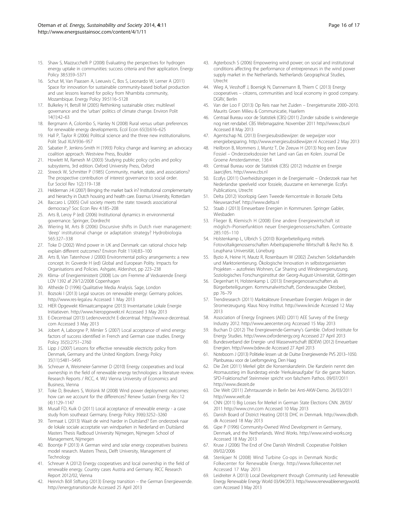- <span id="page-15-0"></span>15. Shaw S, Mazzucchelli P (2008) Evaluating the perspectives for hydrogen energy uptake in communities: success criteria and their application. Energy Policy 38:5359–5371
- 16. Schut M, Van Paassen A, Leeuwis C, Bos S, Leonardo W, Lerner A (2011) Space for innovation for sustainable community-based biofuel production and use: lessons learned for policy from Nhambita community, Mozambique. Energy Policy 39:5116–5128
- 17. Bulkeley H, Betsill M (2005) Rethinking sustainable cities: multilevel governance and the 'urban' politics of climate change. Environ Polit 14(1):42–63
- 18. Bergmann A, Colombo S, Hanley N (2008) Rural versus urban preferences for renewable energy developments. Ecol Econ 65(3):616–625
- 19. Hall P, Taylor R (2006) Political science and the three new institutionalisms. Polit Stud XLIV:936–957
- 20. Sabatier P, Jenkins-Smith H (1993) Policy change and learning: an advocacy coalition approach. Westview Press, Boulder
- 21. Howlett M, Ramesh M (2003) Studying public policy cycles and policy subsystems, 3rd edition. Oxford University Press, Oxford
- 22. Streeck W, Schmitter P (1985) Community, market, state, and associations? The prospective contribution of interest governance to social order. Eur Sociol Rev 1(2):119–138
- 23. Helderman J-K (2007) Bringing the market back in? Institutional complementarity and hierarchy in Dutch housing and health care. Erasmus University, Rotterdam
- 24. Baccaro L (2005) Civil society meets the state: towards associational democracy? Soc Econ Rev 4:185–208
- 25. Arts B, Leroy P (ed) (2006) Institutional dynamics in environmental governance. Springer, Dordrecht
- 26. Wiering M, Arts B (2006) Discursive shifts in Dutch river management: 'deep' institutional change or adaptation strategy? Hydrobiologia 565:327–338
- 27. Toke D (2002) Wind power in UK and Denmark: can rational choice help explain different outcomes? Environ Polit 11(4):83–100
- 28. Arts B, Van Tatenhove J (2000) Environmental policy arrangements: a new concept. In: Goverde H (ed) Global and European Polity. Impacts for Organisations and Policies. Ashgate, Aldershot, pp 223–238
- 29. Klima- of Energieministerit (2008) Lov om Fremme af Vedvarende Energi LOV 1392 af 29/12/2008 Copenhagen
- 30. Altheide D (1996) Qualitative Media Analysis. Sage, London
- 31. Bozsoki I (2013) Legal sources on renewable energy: Germany policies. <http://www.res-legal.eu> Accessed 1 May 2013
- 32. HIER Opgewekt Klimaatcampagne (2013) Inventarisatie Lokale Energie Initiatieven.<http://www.hieropgewekt.nl> Accessed 3 May 2013
- 33. E-Decentraal (2013) Ledenoverzicht E-decentraal. [http://www.e-decentraal.](http://www.e-decentraal.com) [com](http://www.e-decentraal.com) Accessed 3 May 2013
- 34. Jobert A, Laborgne P, Mimler S (2007) Local acceptance of wind energy: factors of success identified in French and German case studies. Energy Policy 35(5):2751–2760
- 35. Lipp J (2007) Lessons for effective renewable electricity policy from Denmark, Germany and the United Kingdom. Energy Policy 35(11):5481–5495
- 36. Schreuer A, Weismeier-Sammer D (2010) Energy cooperatives and local ownership in the field of renewable energy technologies: a literature review. Research Reports / RICC, 4. WU Vienna University of Economics and Business, Vienna
- 37. Toke D, Breukers S, Wolsink M (2008) Wind power deployment outcomes: how can we account for the differences? Renew Sustain Energy Rev 12 (4):1129–1147
- 38. Musall FD, Kuik O (2011) Local acceptance of renewable energy a case study from southeast Germany. Energy Policy 39(6):3252–3260
- 39. Termaat L (2013) Waait de wind harder in Duitsland? Een onderzoek naar de lokale sociale acceptatie van windparken in Nederland en Duitsland Masters Thesis Radboud University Nijmegen, Nijmegen School of Management, Nijmegen
- 40. Boontje P (2013) A German wind and solar energy cooperatives business model research. Masters Thesis, Delft University, Management of **Technology**
- 41. Schreuer A (2012) Energy cooperatives and local ownership in the field of renewable energy. Country cases Austria and Germany. RICC Research Report 2012/02, Vienna
- 42. Heinrich Böll Stiftung (2013) Energy transition the German Energiewende. http://energytransition.de Accessed 25 April 2013
- 43. Agterbosch S (2006) Empowering wind power; on social and institutional conditions affecting the performance of entrepreneurs in the wind power supply market in the Netherlands. Netherlands Geographical Studies, Utrecht
- 44. Wieg A, Vesshoff J, Boenigk N, Dannemann B, Thiem C (2013) Energy cooperatives – citizens, communities and local economy in good company. DGRV, Berlin
- 45. Van der Loo F (2013) Op Reis naar het Zuiden Energietransitie 2000–2010. Maurits Groen Milieu & Communicatie, Haarlem
- 46. Centraal Bureau voor de Statistiek (CBS) (2011) Zonder subsidie is windenergie nog niet rendabel. CBS Webmagazine. November 2011<http://www.cbs.nl> Accessed 8 May 2013
- 47. Agentschap NL (2013) Energiesubsidiewijzer: de wegwijzer voor energiebesparing.<http://www.energiesubsidiewijzer.nl> Accessed 2 May 2013
- 48. Heilbron B, Mommers J, Muntz T, De Zeeuw H (2013) Nog een Eeuw Fossiel – Onderzoeksdossier het Land van Gas en Kolen. Journal De Groene Amsterdammer, 136:4
- 49. Centraal Bureau voor de Statistiek (CBS) (2012) Industrie en Energie Jaarcijfers.<http://www.cbs.nl>
- 50. Ecofys (2011) Overheidsingrepen in de Energiemarkt Onderzoek naar het Nederlandse speelveld voor fossiele, duurzame en kernenergie. Ecofys Publications, Utrecht
- 51. Delta (2012) Voorlopig Geen Tweede Kerncentrale in Borssele Delta Nieuwsarchief.<http://www.delta.nl>
- Staab J (2013) Erneuerbare Energien in Kommunen. Springer Gabler, Wiesbaden
- 53. Flieger B, Klemisch H (2008) Eine andere Energiewirtschaft ist möglich–Pionierfunktion neuer Energiegenossenschaften. Contraste 285:105–110
- 54. Holstenkamp L, Ulbrich S (2010) Bürgerbeteiligung mittels Fotovoltaikgenossenschaften Arbeitspapierreihe Wirtschaft & Recht No. 8. Leuphana Universität, Lüneburg
- 55. Byzio A, Heine H, Mautz R, Rosenbaum W (2002) Zwischen Solidarhandeln und Marktorientierung. Ökologische Innovation in selbstorganisierten Projekten – autofreies Wohnen, Car Sharing und Windenergienutzung. Soziologisches Forschungsinstitut der Georg-August-Universität, Göttingen
- 56. Degenhart H, Holstenkamp L (2013) Energiegenossenschaften als Bürgerbeteiligungen. Kommunalwirtschaft, (Sonderausgabe Oktober), pp 76–79
- 57. Trendresearch (2011) Marktakteure Erneuerbare Energien Anlagen in der Stromerzeugung. Klaus Novy Institut.<http://www.kni.de> Accessed 12 May 2013
- 58. Association of Energy Engineers (AEE) (2011) AEE Survey of the Energy Industry 2012.<http://www.aeecenter.org> Accessed 15 May 2013
- 59. Buchan D (2012) The Energiewende-Germany's Gamble. Oxford Institute for Energy Studies.<http://www.oxfordenergy.org> Accessed 27 April 2013
- 60. Bundesverband der Energie- und Wasserwirtschaft (BDEW) (2012) Erneuerbare Energien.<http://www.bdew.de> Accessed 27 April 2013
- 61. Noteboom J (2013) Politieke lessen uit de Duitse Energiewende PVS 2013–1050. Planbureau voor de Leefomgeving, Den Haag
- 62. Die Zeit (2011) Merkel gibt die Konsenskanzlerin. Die Kanzlerin nennt den Atomausstieg im Bundestag einde 'Herkulesaufgabe' für die ganze Nation. SPD-Fraktionschef Steinmeier spricht von falschem Pathos. 09/07/2011 <http://www.diezeit.de>
- 63. Die Welt (2011) Zehntausende in Berlin bei Anti-AKW-Demo. 26/03/2011 <http://www.welt.de>
- 64. CNN (2011) Big Losses for Merkel in German State Elections CNN. 28/03/ 201[1 http://www.cnn.com](http://www.cnn.com) Accessed 10 May 2013
- 65. Danish Board of District Heating (2013) DHC in Denmark. [http://www.dbdh.](http://www.dbdh.dk) [dk](http://www.dbdh.dk) Accessed 18 May 2013
- 66. Gipe P (1996) Community-Owned Wind Development in Germany, Denmark, and the Netherlands. Wind Works.<http://www.wind-works.org> Accessed 18 May 2013
- 67. Kruse J (2006) The End of One Danish Windmill. Cooperative Politiken 09/02/2006
- 68. Stenkjaer N (2008) Wind Turbine Co-ops in Denmark Nordic Folkecenter for Renewable Energy.<http://www.folkecenter.net> Accessed 17 May 2013
- 69. Leidreiter A (2013) Local Development through Community Led Renewable Energy Renewable Energy World 03/04/2013. [http://www.renewableenergyworld.](http://www.renewableenergyworld.com) [com](http://www.renewableenergyworld.com) Accessed 3 May 2013